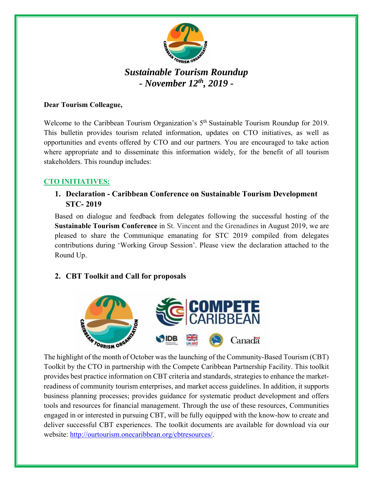

# *Sustainable Tourism Roundup - November 12th, 2019 -*

#### **Dear Tourism Colleague,**

Welcome to the Caribbean Tourism Organization's 5<sup>th</sup> Sustainable Tourism Roundup for 2019. This bulletin provides tourism related information, updates on CTO initiatives, as well as opportunities and events offered by CTO and our partners. You are encouraged to take action where appropriate and to disseminate this information widely, for the benefit of all tourism stakeholders. This roundup includes:

#### **CTO INITIATIVES:**

### **1. Declaration - Caribbean Conference on Sustainable Tourism Development STC- 2019**

Based on dialogue and feedback from delegates following the successful hosting of the **Sustainable Tourism Conference** in St. Vincent and the Grenadines in August 2019, we are pleased to share the Communique emanating for STC 2019 compiled from delegates contributions during 'Working Group Session'. Please view the declaration attached to the Round Up.

## **2. CBT Toolkit and Call for proposals**



Toolkit by the CTO in partnership with the Compete Caribbean Partnership Facility. This toolkit provides best practice information on CBT criteria and standards, strategies to enhance the marketreadiness of community tourism enterprises, and market access guidelines. In addition, it supports business planning processes; provides guidance for systematic product development and offers tools and resources for financial management. Through the use of these resources, Communities engaged in or interested in pursuing CBT, will be fully equipped with the know-how to create and deliver successful CBT experiences. The toolkit documents are available for download via our website: http://ourtourism.onecaribbean.org/cbtresources/.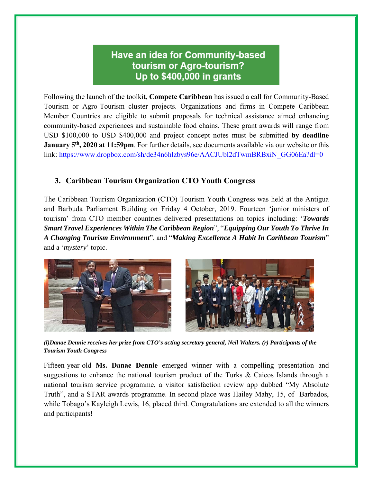## **Have an idea for Community-based** tourism or Agro-tourism? Up to \$400,000 in grants

Following the launch of the toolkit, **Compete Caribbean** has issued a call for Community-Based Tourism or Agro-Tourism cluster projects. Organizations and firms in Compete Caribbean Member Countries are eligible to submit proposals for technical assistance aimed enhancing community-based experiences and sustainable food chains. These grant awards will range from USD \$100,000 to USD \$400,000 and project concept notes must be submitted **by deadline January 5th, 2020 at 11:59pm**. For further details, see documents available via our website or this link: https://www.dropbox.com/sh/de34n6hlzbys96e/AACJUbl2dTwmBRBxiN\_GG06Ea?dl=0

#### **3. Caribbean Tourism Organization CTO Youth Congress**

The Caribbean Tourism Organization (CTO) Tourism Youth Congress was held at the Antigua and Barbuda Parliament Building on Friday 4 October, 2019. Fourteen 'junior ministers of tourism' from CTO member countries delivered presentations on topics including: '*Towards Smart Travel Experiences Within The Caribbean Region*", "*Equipping Our Youth To Thrive In A Changing Tourism Environment*", and "*Making Excellence A Habit In Caribbean Tourism*" and a '*mystery*' topic.



*(l)Danae Dennie receives her prize from CTO's acting secretary general, Neil Walters. (r) Participants of the Tourism Youth Congress* 

Fifteen-year-old **Ms. Danae Dennie** emerged winner with a compelling presentation and suggestions to enhance the national tourism product of the Turks & Caicos Islands through a national tourism service programme, a visitor satisfaction review app dubbed "My Absolute Truth", and a STAR awards programme. In second place was Hailey Mahy, 15, of Barbados, while Tobago's Kayleigh Lewis, 16, placed third. Congratulations are extended to all the winners and participants!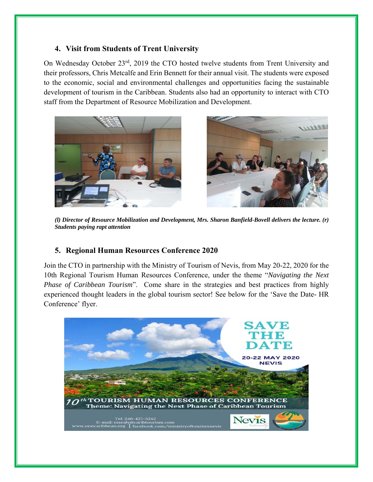#### **4. Visit from Students of Trent University**

On Wednesday October 23rd, 2019 the CTO hosted twelve students from Trent University and their professors, Chris Metcalfe and Erin Bennett for their annual visit. The students were exposed to the economic, social and environmental challenges and opportunities facing the sustainable development of tourism in the Caribbean. Students also had an opportunity to interact with CTO staff from the Department of Resource Mobilization and Development.



*(l) Director of Resource Mobilization and Development, Mrs. Sharon Banfield-Bovell delivers the lecture. (r) Students paying rapt attention* 

#### **5. Regional Human Resources Conference 2020**

Join the CTO in partnership with the Ministry of Tourism of Nevis, from May 20-22, 2020 for the 10th Regional Tourism Human Resources Conference, under the theme "*Navigating the Next Phase of Caribbean Tourism*". Come share in the strategies and best practices from highly experienced thought leaders in the global tourism sector! See below for the 'Save the Date- HR Conference' flyer.

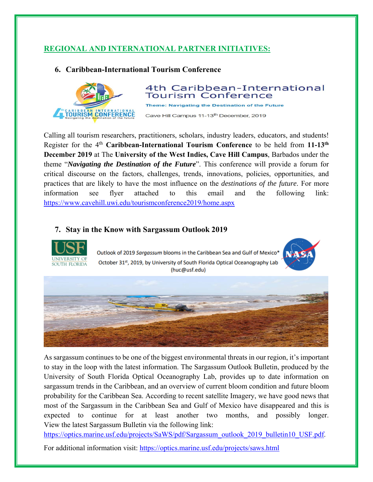## **REGIONAL AND INTERNATIONAL PARTNER INITIATIVES:**

#### **6. Caribbean-International Tourism Conference**



#### 4th Caribbean-International **Tourism Conference**

Theme: Navigating the Destination of the Future

Cave Hill Campus 11-13<sup>th</sup> December, 2019

Calling all tourism researchers, practitioners, scholars, industry leaders, educators, and students! Register for the 4th **Caribbean-International Tourism Conference** to be held from **11-13th December 2019** at The **University of the West Indies, Cave Hill Campus**, Barbados under the theme "*Navigating the Destination of the Future*". This conference will provide a forum for critical discourse on the factors, challenges, trends, innovations, policies, opportunities, and practices that are likely to have the most influence on the *destinations of the future*. For more information see flyer attached to this email and the following link: https://www.cavehill.uwi.edu/tourismconference2019/home.aspx

## **7. Stay in the Know with Sargassum Outlook 2019**



Outlook of 2019 Sargassum blooms in the Caribbean Sea and Gulf of Mexico\* October 31st, 2019, by University of South Florida Optical Oceanography Lab (huc@usf.edu)





As sargassum continues to be one of the biggest environmental threats in our region, it's important to stay in the loop with the latest information. The Sargassum Outlook Bulletin, produced by the University of South Florida Optical Oceanography Lab, provides up to date information on sargassum trends in the Caribbean, and an overview of current bloom condition and future bloom probability for the Caribbean Sea. According to recent satellite Imagery, we have good news that most of the Sargassum in the Caribbean Sea and Gulf of Mexico have disappeared and this is expected to continue for at least another two months, and possibly longer. View the latest Sargassum Bulletin via the following link:

https://optics.marine.usf.edu/projects/SaWS/pdf/Sargassum\_outlook\_2019\_bulletin10\_USF.pdf.

For additional information visit: https://optics.marine.usf.edu/projects/saws.html